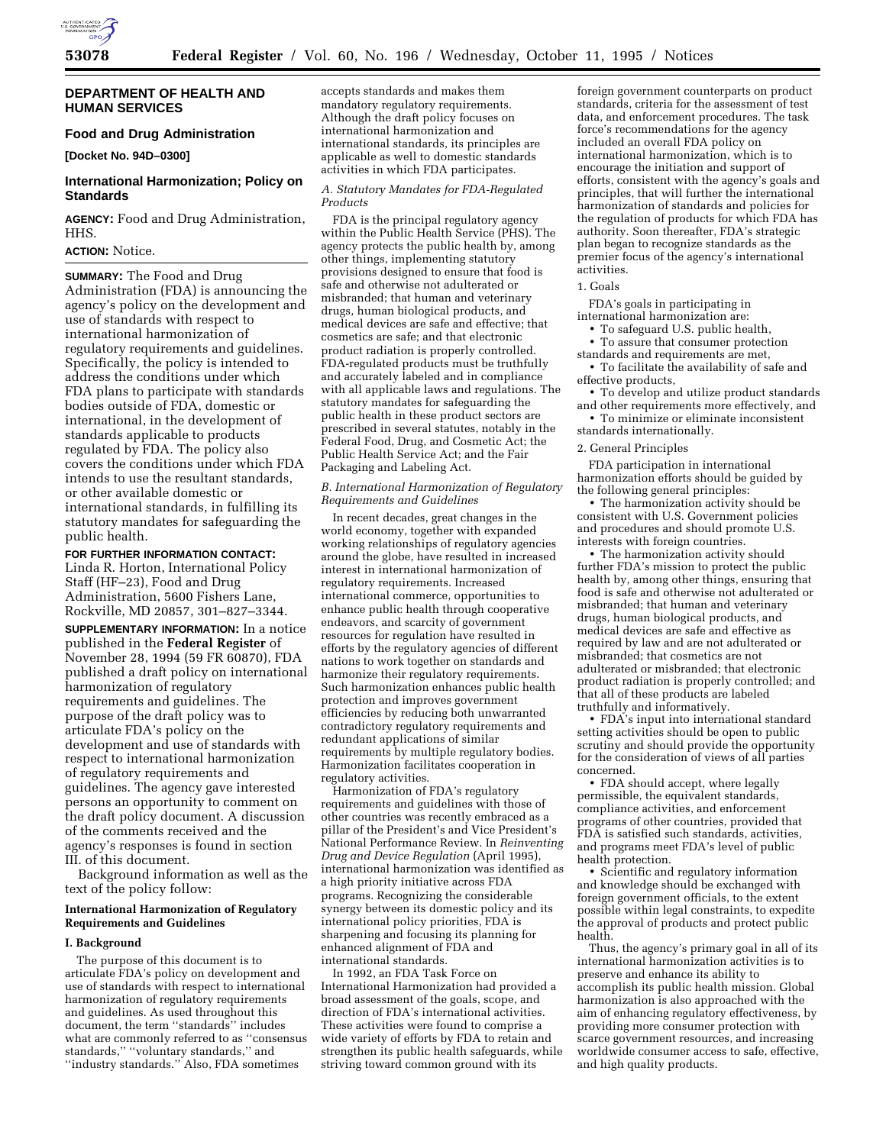

## **DEPARTMENT OF HEALTH AND HUMAN SERVICES**

# **Food and Drug Administration**

**[Docket No. 94D–0300]**

# **International Harmonization; Policy on Standards**

**AGENCY:** Food and Drug Administration, HHS.

## **ACTION:** Notice.

**SUMMARY:** The Food and Drug Administration (FDA) is announcing the agency's policy on the development and use of standards with respect to international harmonization of regulatory requirements and guidelines. Specifically, the policy is intended to address the conditions under which FDA plans to participate with standards bodies outside of FDA, domestic or international, in the development of standards applicable to products regulated by FDA. The policy also covers the conditions under which FDA intends to use the resultant standards, or other available domestic or international standards, in fulfilling its statutory mandates for safeguarding the public health.

#### **FOR FURTHER INFORMATION CONTACT:**

Linda R. Horton, International Policy Staff (HF–23), Food and Drug Administration, 5600 Fishers Lane, Rockville, MD 20857, 301–827–3344.

**SUPPLEMENTARY INFORMATION:** In a notice published in the **Federal Register** of November 28, 1994 (59 FR 60870), FDA published a draft policy on international harmonization of regulatory requirements and guidelines. The purpose of the draft policy was to articulate FDA's policy on the development and use of standards with respect to international harmonization of regulatory requirements and guidelines. The agency gave interested persons an opportunity to comment on the draft policy document. A discussion of the comments received and the agency's responses is found in section III. of this document.

Background information as well as the text of the policy follow:

## **International Harmonization of Regulatory Requirements and Guidelines**

#### **I. Background**

The purpose of this document is to articulate FDA's policy on development and use of standards with respect to international harmonization of regulatory requirements and guidelines. As used throughout this document, the term ''standards'' includes what are commonly referred to as ''consensus standards,'' ''voluntary standards,'' and ''industry standards.'' Also, FDA sometimes

accepts standards and makes them mandatory regulatory requirements. Although the draft policy focuses on international harmonization and international standards, its principles are applicable as well to domestic standards activities in which FDA participates.

#### *A. Statutory Mandates for FDA-Regulated Products*

FDA is the principal regulatory agency within the Public Health Service (PHS). The agency protects the public health by, among other things, implementing statutory provisions designed to ensure that food is safe and otherwise not adulterated or misbranded; that human and veterinary drugs, human biological products, and medical devices are safe and effective; that cosmetics are safe; and that electronic product radiation is properly controlled. FDA-regulated products must be truthfully and accurately labeled and in compliance with all applicable laws and regulations. The statutory mandates for safeguarding the public health in these product sectors are prescribed in several statutes, notably in the Federal Food, Drug, and Cosmetic Act; the Public Health Service Act; and the Fair Packaging and Labeling Act.

#### *B. International Harmonization of Regulatory Requirements and Guidelines*

In recent decades, great changes in the world economy, together with expanded working relationships of regulatory agencies around the globe, have resulted in increased interest in international harmonization of regulatory requirements. Increased international commerce, opportunities to enhance public health through cooperative endeavors, and scarcity of government resources for regulation have resulted in efforts by the regulatory agencies of different nations to work together on standards and harmonize their regulatory requirements. Such harmonization enhances public health protection and improves government efficiencies by reducing both unwarranted contradictory regulatory requirements and redundant applications of similar requirements by multiple regulatory bodies. Harmonization facilitates cooperation in regulatory activities.

Harmonization of FDA's regulatory requirements and guidelines with those of other countries was recently embraced as a pillar of the President's and Vice President's National Performance Review. In *Reinventing Drug and Device Regulation* (April 1995), international harmonization was identified as a high priority initiative across FDA programs. Recognizing the considerable synergy between its domestic policy and its international policy priorities, FDA is sharpening and focusing its planning for enhanced alignment of FDA and international standards.

In 1992, an FDA Task Force on International Harmonization had provided a broad assessment of the goals, scope, and direction of FDA's international activities. These activities were found to comprise a wide variety of efforts by FDA to retain and strengthen its public health safeguards, while striving toward common ground with its

foreign government counterparts on product standards, criteria for the assessment of test data, and enforcement procedures. The task force's recommendations for the agency included an overall FDA policy on international harmonization, which is to encourage the initiation and support of efforts, consistent with the agency's goals and principles, that will further the international harmonization of standards and policies for the regulation of products for which FDA has authority. Soon thereafter, FDA's strategic plan began to recognize standards as the premier focus of the agency's international activities.

## 1. Goals

FDA's goals in participating in international harmonization are:

- To safeguard U.S. public health,
- To assure that consumer protection

standards and requirements are met, • To facilitate the availability of safe and effective products,

• To develop and utilize product standards and other requirements more effectively, and

• To minimize or eliminate inconsistent standards internationally.

# 2. General Principles

FDA participation in international harmonization efforts should be guided by the following general principles:

• The harmonization activity should be consistent with U.S. Government policies and procedures and should promote U.S. interests with foreign countries.

• The harmonization activity should further FDA's mission to protect the public health by, among other things, ensuring that food is safe and otherwise not adulterated or misbranded; that human and veterinary drugs, human biological products, and medical devices are safe and effective as required by law and are not adulterated or misbranded; that cosmetics are not adulterated or misbranded; that electronic product radiation is properly controlled; and that all of these products are labeled truthfully and informatively.

• FDA's input into international standard setting activities should be open to public scrutiny and should provide the opportunity for the consideration of views of all parties concerned.

• FDA should accept, where legally permissible, the equivalent standards, compliance activities, and enforcement programs of other countries, provided that FDA is satisfied such standards, activities, and programs meet FDA's level of public health protection.

• Scientific and regulatory information and knowledge should be exchanged with foreign government officials, to the extent possible within legal constraints, to expedite the approval of products and protect public health.

Thus, the agency's primary goal in all of its international harmonization activities is to preserve and enhance its ability to accomplish its public health mission. Global harmonization is also approached with the aim of enhancing regulatory effectiveness, by providing more consumer protection with scarce government resources, and increasing worldwide consumer access to safe, effective, and high quality products.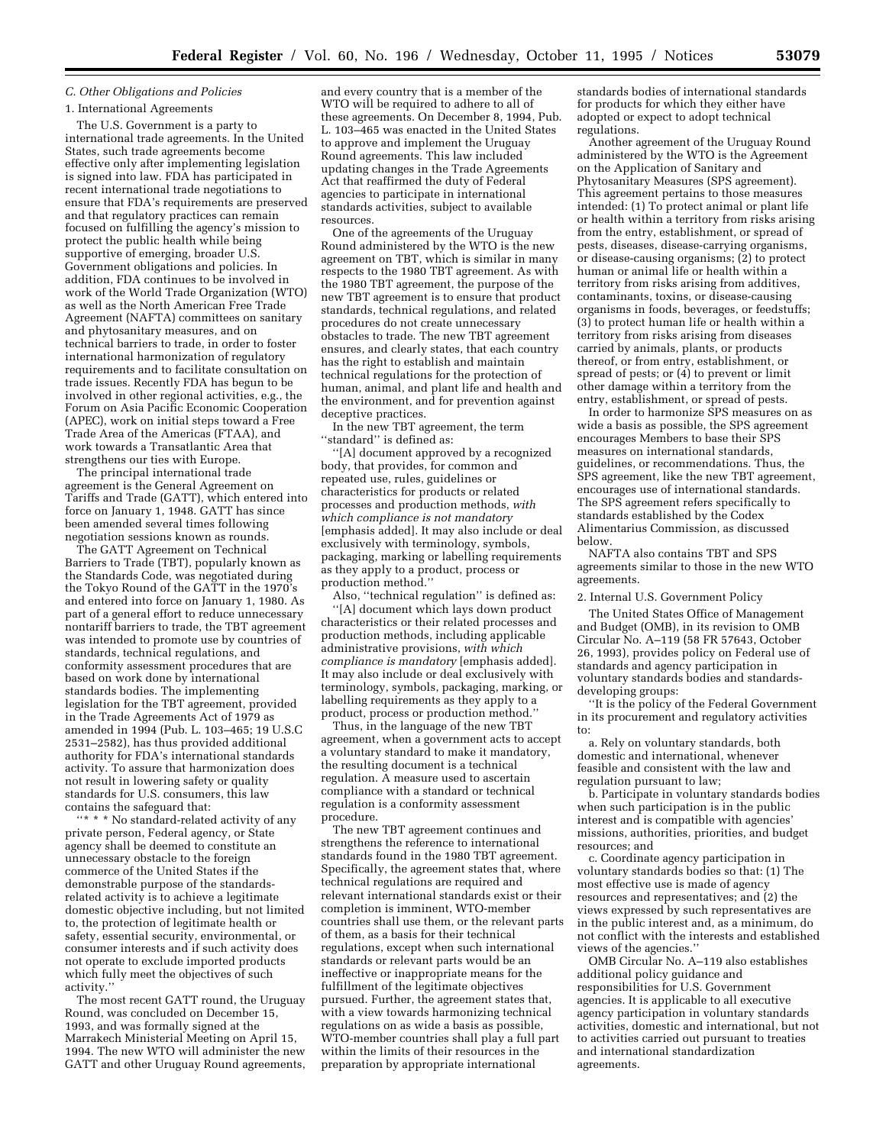#### *C. Other Obligations and Policies*

#### 1. International Agreements

The U.S. Government is a party to international trade agreements. In the United States, such trade agreements become effective only after implementing legislation is signed into law. FDA has participated in recent international trade negotiations to ensure that FDA's requirements are preserved and that regulatory practices can remain focused on fulfilling the agency's mission to protect the public health while being supportive of emerging, broader U.S. Government obligations and policies. In addition, FDA continues to be involved in work of the World Trade Organization (WTO) as well as the North American Free Trade Agreement (NAFTA) committees on sanitary and phytosanitary measures, and on technical barriers to trade, in order to foster international harmonization of regulatory requirements and to facilitate consultation on trade issues. Recently FDA has begun to be involved in other regional activities, e.g., the Forum on Asia Pacific Economic Cooperation (APEC), work on initial steps toward a Free Trade Area of the Americas (FTAA), and work towards a Transatlantic Area that strengthens our ties with Europe.

The principal international trade agreement is the General Agreement on Tariffs and Trade (GATT), which entered into force on January 1, 1948. GATT has since been amended several times following negotiation sessions known as rounds.

The GATT Agreement on Technical Barriers to Trade (TBT), popularly known as the Standards Code, was negotiated during the Tokyo Round of the GATT in the 1970's and entered into force on January 1, 1980. As part of a general effort to reduce unnecessary nontariff barriers to trade, the TBT agreement was intended to promote use by countries of standards, technical regulations, and conformity assessment procedures that are based on work done by international standards bodies. The implementing legislation for the TBT agreement, provided in the Trade Agreements Act of 1979 as amended in 1994 (Pub. L. 103–465; 19 U.S.C 2531–2582), has thus provided additional authority for FDA's international standards activity. To assure that harmonization does not result in lowering safety or quality standards for U.S. consumers, this law contains the safeguard that:

"\* \* \* No standard-related activity of any private person, Federal agency, or State agency shall be deemed to constitute an unnecessary obstacle to the foreign commerce of the United States if the demonstrable purpose of the standardsrelated activity is to achieve a legitimate domestic objective including, but not limited to, the protection of legitimate health or safety, essential security, environmental, or consumer interests and if such activity does not operate to exclude imported products which fully meet the objectives of such activity.''

The most recent GATT round, the Uruguay Round, was concluded on December 15, 1993, and was formally signed at the Marrakech Ministerial Meeting on April 15, 1994. The new WTO will administer the new GATT and other Uruguay Round agreements,

and every country that is a member of the WTO will be required to adhere to all of these agreements. On December 8, 1994, Pub. L. 103–465 was enacted in the United States to approve and implement the Uruguay Round agreements. This law included updating changes in the Trade Agreements Act that reaffirmed the duty of Federal agencies to participate in international standards activities, subject to available resources.

One of the agreements of the Uruguay Round administered by the WTO is the new agreement on TBT, which is similar in many respects to the 1980 TBT agreement. As with the 1980 TBT agreement, the purpose of the new TBT agreement is to ensure that product standards, technical regulations, and related procedures do not create unnecessary obstacles to trade. The new TBT agreement ensures, and clearly states, that each country has the right to establish and maintain technical regulations for the protection of human, animal, and plant life and health and the environment, and for prevention against deceptive practices.

In the new TBT agreement, the term "standard" is defined as:

''[A] document approved by a recognized body, that provides, for common and repeated use, rules, guidelines or characteristics for products or related processes and production methods, *with which compliance is not mandatory* [emphasis added]. It may also include or deal exclusively with terminology, symbols, packaging, marking or labelling requirements as they apply to a product, process or production method.''

Also, ''technical regulation'' is defined as: ''[A] document which lays down product characteristics or their related processes and production methods, including applicable administrative provisions, *with which compliance is mandatory* [emphasis added]. It may also include or deal exclusively with terminology, symbols, packaging, marking, or labelling requirements as they apply to a product, process or production method.''

Thus, in the language of the new TBT agreement, when a government acts to accept a voluntary standard to make it mandatory, the resulting document is a technical regulation. A measure used to ascertain compliance with a standard or technical regulation is a conformity assessment procedure.

The new TBT agreement continues and strengthens the reference to international standards found in the 1980 TBT agreement. Specifically, the agreement states that, where technical regulations are required and relevant international standards exist or their completion is imminent, WTO-member countries shall use them, or the relevant parts of them, as a basis for their technical regulations, except when such international standards or relevant parts would be an ineffective or inappropriate means for the fulfillment of the legitimate objectives pursued. Further, the agreement states that, with a view towards harmonizing technical regulations on as wide a basis as possible, WTO-member countries shall play a full part within the limits of their resources in the preparation by appropriate international

standards bodies of international standards for products for which they either have adopted or expect to adopt technical regulations.

Another agreement of the Uruguay Round administered by the WTO is the Agreement on the Application of Sanitary and Phytosanitary Measures (SPS agreement). This agreement pertains to those measures intended: (1) To protect animal or plant life or health within a territory from risks arising from the entry, establishment, or spread of pests, diseases, disease-carrying organisms, or disease-causing organisms; (2) to protect human or animal life or health within a territory from risks arising from additives, contaminants, toxins, or disease-causing organisms in foods, beverages, or feedstuffs; (3) to protect human life or health within a territory from risks arising from diseases carried by animals, plants, or products thereof, or from entry, establishment, or spread of pests; or (4) to prevent or limit other damage within a territory from the entry, establishment, or spread of pests.

In order to harmonize SPS measures on as wide a basis as possible, the SPS agreement encourages Members to base their SPS measures on international standards, guidelines, or recommendations. Thus, the SPS agreement, like the new TBT agreement, encourages use of international standards. The SPS agreement refers specifically to standards established by the Codex Alimentarius Commission, as discussed below.

NAFTA also contains TBT and SPS agreements similar to those in the new WTO agreements.

#### 2. Internal U.S. Government Policy

The United States Office of Management and Budget (OMB), in its revision to OMB Circular No. A–119 (58 FR 57643, October 26, 1993), provides policy on Federal use of standards and agency participation in voluntary standards bodies and standardsdeveloping groups:

''It is the policy of the Federal Government in its procurement and regulatory activities to:

a. Rely on voluntary standards, both domestic and international, whenever feasible and consistent with the law and regulation pursuant to law;

b. Participate in voluntary standards bodies when such participation is in the public interest and is compatible with agencies' missions, authorities, priorities, and budget resources; and

c. Coordinate agency participation in voluntary standards bodies so that: (1) The most effective use is made of agency resources and representatives; and (2) the views expressed by such representatives are in the public interest and, as a minimum, do not conflict with the interests and established views of the agencies.''

OMB Circular No. A–119 also establishes additional policy guidance and responsibilities for U.S. Government agencies. It is applicable to all executive agency participation in voluntary standards activities, domestic and international, but not to activities carried out pursuant to treaties and international standardization agreements.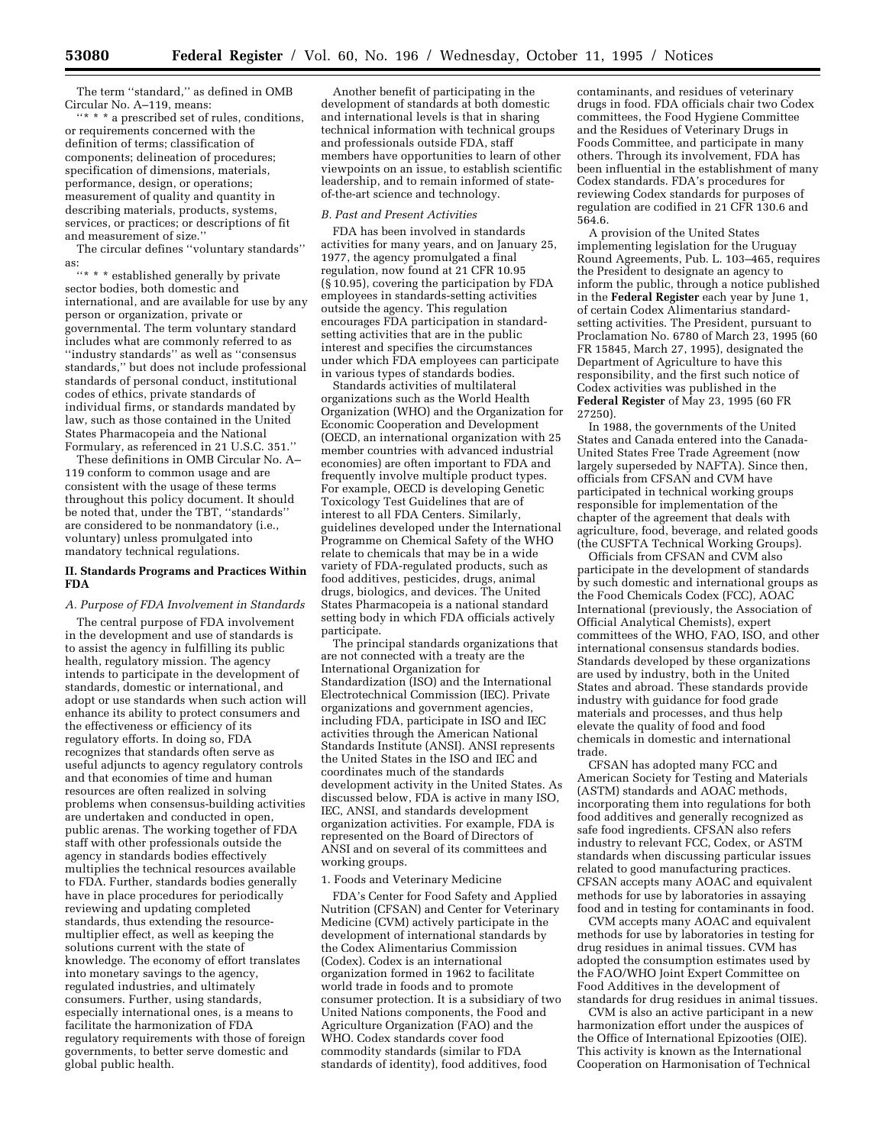The term ''standard,'' as defined in OMB Circular No. A–119, means:

''\* \* \* a prescribed set of rules, conditions, or requirements concerned with the definition of terms; classification of components; delineation of procedures; specification of dimensions, materials, performance, design, or operations; measurement of quality and quantity in describing materials, products, systems, services, or practices; or descriptions of fit and measurement of size.''

The circular defines ''voluntary standards'' as:

''\* \* \* established generally by private sector bodies, both domestic and international, and are available for use by any person or organization, private or governmental. The term voluntary standard includes what are commonly referred to as ''industry standards'' as well as ''consensus standards,'' but does not include professional standards of personal conduct, institutional codes of ethics, private standards of individual firms, or standards mandated by law, such as those contained in the United States Pharmacopeia and the National Formulary, as referenced in 21 U.S.C. 351.''

These definitions in OMB Circular No. A– 119 conform to common usage and are consistent with the usage of these terms throughout this policy document. It should be noted that, under the TBT, ''standards'' are considered to be nonmandatory (i.e., voluntary) unless promulgated into mandatory technical regulations.

## **II. Standards Programs and Practices Within FDA**

*A. Purpose of FDA Involvement in Standards*

The central purpose of FDA involvement in the development and use of standards is to assist the agency in fulfilling its public health, regulatory mission. The agency intends to participate in the development of standards, domestic or international, and adopt or use standards when such action will enhance its ability to protect consumers and the effectiveness or efficiency of its regulatory efforts. In doing so, FDA recognizes that standards often serve as useful adjuncts to agency regulatory controls and that economies of time and human resources are often realized in solving problems when consensus-building activities are undertaken and conducted in open, public arenas. The working together of FDA staff with other professionals outside the agency in standards bodies effectively multiplies the technical resources available to FDA. Further, standards bodies generally have in place procedures for periodically reviewing and updating completed standards, thus extending the resourcemultiplier effect, as well as keeping the solutions current with the state of knowledge. The economy of effort translates into monetary savings to the agency, regulated industries, and ultimately consumers. Further, using standards, especially international ones, is a means to facilitate the harmonization of FDA regulatory requirements with those of foreign governments, to better serve domestic and global public health.

Another benefit of participating in the development of standards at both domestic and international levels is that in sharing technical information with technical groups and professionals outside FDA, staff members have opportunities to learn of other viewpoints on an issue, to establish scientific leadership, and to remain informed of stateof-the-art science and technology.

#### *B. Past and Present Activities*

FDA has been involved in standards activities for many years, and on January 25, 1977, the agency promulgated a final regulation, now found at 21 CFR 10.95 (§ 10.95), covering the participation by FDA employees in standards-setting activities outside the agency. This regulation encourages FDA participation in standardsetting activities that are in the public interest and specifies the circumstances under which FDA employees can participate in various types of standards bodies.

Standards activities of multilateral organizations such as the World Health Organization (WHO) and the Organization for Economic Cooperation and Development (OECD, an international organization with 25 member countries with advanced industrial economies) are often important to FDA and frequently involve multiple product types. For example, OECD is developing Genetic Toxicology Test Guidelines that are of interest to all FDA Centers. Similarly, guidelines developed under the International Programme on Chemical Safety of the WHO relate to chemicals that may be in a wide variety of FDA-regulated products, such as food additives, pesticides, drugs, animal drugs, biologics, and devices. The United States Pharmacopeia is a national standard setting body in which FDA officials actively participate.

The principal standards organizations that are not connected with a treaty are the International Organization for Standardization (ISO) and the International Electrotechnical Commission (IEC). Private organizations and government agencies, including FDA, participate in ISO and IEC activities through the American National Standards Institute (ANSI). ANSI represents the United States in the ISO and IEC and coordinates much of the standards development activity in the United States. As discussed below, FDA is active in many ISO, IEC, ANSI, and standards development organization activities. For example, FDA is represented on the Board of Directors of ANSI and on several of its committees and working groups.

# 1. Foods and Veterinary Medicine

FDA's Center for Food Safety and Applied Nutrition (CFSAN) and Center for Veterinary Medicine (CVM) actively participate in the development of international standards by the Codex Alimentarius Commission (Codex). Codex is an international organization formed in 1962 to facilitate world trade in foods and to promote consumer protection. It is a subsidiary of two United Nations components, the Food and Agriculture Organization (FAO) and the WHO. Codex standards cover food commodity standards (similar to FDA standards of identity), food additives, food

contaminants, and residues of veterinary drugs in food. FDA officials chair two Codex committees, the Food Hygiene Committee and the Residues of Veterinary Drugs in Foods Committee, and participate in many others. Through its involvement, FDA has been influential in the establishment of many Codex standards. FDA's procedures for reviewing Codex standards for purposes of regulation are codified in 21 CFR 130.6 and 564.6.

A provision of the United States implementing legislation for the Uruguay Round Agreements, Pub. L. 103–465, requires the President to designate an agency to inform the public, through a notice published in the **Federal Register** each year by June 1, of certain Codex Alimentarius standardsetting activities. The President, pursuant to Proclamation No. 6780 of March 23, 1995 (60 FR 15845, March 27, 1995), designated the Department of Agriculture to have this responsibility, and the first such notice of Codex activities was published in the **Federal Register** of May 23, 1995 (60 FR 27250).

In 1988, the governments of the United States and Canada entered into the Canada-United States Free Trade Agreement (now largely superseded by NAFTA). Since then, officials from CFSAN and CVM have participated in technical working groups responsible for implementation of the chapter of the agreement that deals with agriculture, food, beverage, and related goods (the CUSFTA Technical Working Groups).

Officials from CFSAN and CVM also participate in the development of standards by such domestic and international groups as the Food Chemicals Codex (FCC), AOAC International (previously, the Association of Official Analytical Chemists), expert committees of the WHO, FAO, ISO, and other international consensus standards bodies. Standards developed by these organizations are used by industry, both in the United States and abroad. These standards provide industry with guidance for food grade materials and processes, and thus help elevate the quality of food and food chemicals in domestic and international trade.

CFSAN has adopted many FCC and American Society for Testing and Materials (ASTM) standards and AOAC methods, incorporating them into regulations for both food additives and generally recognized as safe food ingredients. CFSAN also refers industry to relevant FCC, Codex, or ASTM standards when discussing particular issues related to good manufacturing practices. CFSAN accepts many AOAC and equivalent methods for use by laboratories in assaying food and in testing for contaminants in food.

CVM accepts many AOAC and equivalent methods for use by laboratories in testing for drug residues in animal tissues. CVM has adopted the consumption estimates used by the FAO/WHO Joint Expert Committee on Food Additives in the development of standards for drug residues in animal tissues.

CVM is also an active participant in a new harmonization effort under the auspices of the Office of International Epizooties (OIE). This activity is known as the International Cooperation on Harmonisation of Technical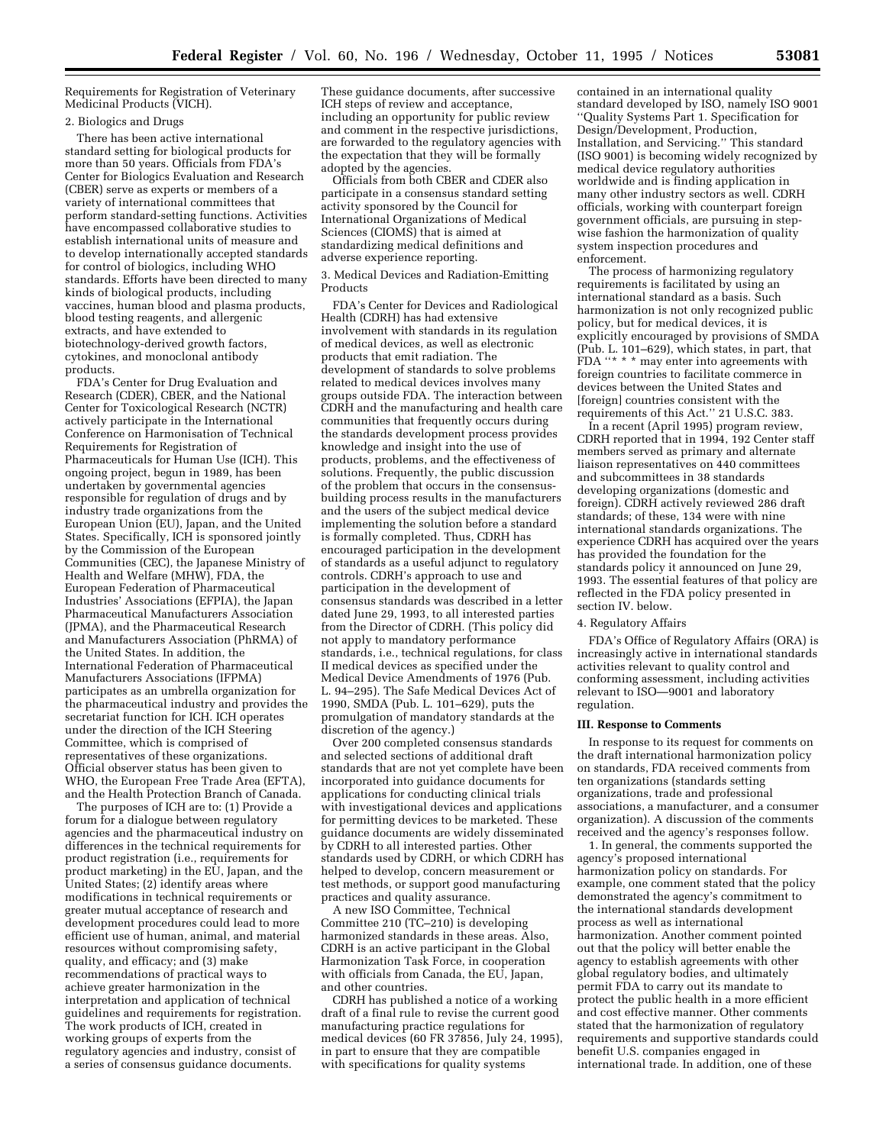Requirements for Registration of Veterinary Medicinal Products (VICH).

## 2. Biologics and Drugs

There has been active international standard setting for biological products for more than 50 years. Officials from FDA's Center for Biologics Evaluation and Research (CBER) serve as experts or members of a variety of international committees that perform standard-setting functions. Activities have encompassed collaborative studies to establish international units of measure and to develop internationally accepted standards for control of biologics, including WHO standards. Efforts have been directed to many kinds of biological products, including vaccines, human blood and plasma products, blood testing reagents, and allergenic extracts, and have extended to biotechnology-derived growth factors, cytokines, and monoclonal antibody products.

FDA's Center for Drug Evaluation and Research (CDER), CBER, and the National Center for Toxicological Research (NCTR) actively participate in the International Conference on Harmonisation of Technical Requirements for Registration of Pharmaceuticals for Human Use (ICH). This ongoing project, begun in 1989, has been undertaken by governmental agencies responsible for regulation of drugs and by industry trade organizations from the European Union (EU), Japan, and the United States. Specifically, ICH is sponsored jointly by the Commission of the European Communities (CEC), the Japanese Ministry of Health and Welfare (MHW), FDA, the European Federation of Pharmaceutical Industries' Associations (EFPIA), the Japan Pharmaceutical Manufacturers Association (JPMA), and the Pharmaceutical Research and Manufacturers Association (PhRMA) of the United States. In addition, the International Federation of Pharmaceutical Manufacturers Associations (IFPMA) participates as an umbrella organization for the pharmaceutical industry and provides the secretariat function for ICH. ICH operates under the direction of the ICH Steering Committee, which is comprised of representatives of these organizations. Official observer status has been given to WHO, the European Free Trade Area (EFTA), and the Health Protection Branch of Canada.

The purposes of ICH are to: (1) Provide a forum for a dialogue between regulatory agencies and the pharmaceutical industry on differences in the technical requirements for product registration (i.e., requirements for product marketing) in the EU, Japan, and the United States; (2) identify areas where modifications in technical requirements or greater mutual acceptance of research and development procedures could lead to more efficient use of human, animal, and material resources without compromising safety, quality, and efficacy; and (3) make recommendations of practical ways to achieve greater harmonization in the interpretation and application of technical guidelines and requirements for registration. The work products of ICH, created in working groups of experts from the regulatory agencies and industry, consist of a series of consensus guidance documents.

These guidance documents, after successive ICH steps of review and acceptance, including an opportunity for public review and comment in the respective jurisdictions, are forwarded to the regulatory agencies with the expectation that they will be formally adopted by the agencies.

Officials from both CBER and CDER also participate in a consensus standard setting activity sponsored by the Council for International Organizations of Medical Sciences (CIOMS) that is aimed at standardizing medical definitions and adverse experience reporting.

3. Medical Devices and Radiation-Emitting Products

FDA's Center for Devices and Radiological Health (CDRH) has had extensive involvement with standards in its regulation of medical devices, as well as electronic products that emit radiation. The development of standards to solve problems related to medical devices involves many groups outside FDA. The interaction between CDRH and the manufacturing and health care communities that frequently occurs during the standards development process provides knowledge and insight into the use of products, problems, and the effectiveness of solutions. Frequently, the public discussion of the problem that occurs in the consensusbuilding process results in the manufacturers and the users of the subject medical device implementing the solution before a standard is formally completed. Thus, CDRH has encouraged participation in the development of standards as a useful adjunct to regulatory controls. CDRH's approach to use and participation in the development of consensus standards was described in a letter dated June 29, 1993, to all interested parties from the Director of CDRH. (This policy did not apply to mandatory performance standards, i.e., technical regulations, for class II medical devices as specified under the Medical Device Amendments of 1976 (Pub. L. 94–295). The Safe Medical Devices Act of 1990, SMDA (Pub. L. 101–629), puts the promulgation of mandatory standards at the discretion of the agency.)

Over 200 completed consensus standards and selected sections of additional draft standards that are not yet complete have been incorporated into guidance documents for applications for conducting clinical trials with investigational devices and applications for permitting devices to be marketed. These guidance documents are widely disseminated by CDRH to all interested parties. Other standards used by CDRH, or which CDRH has helped to develop, concern measurement or test methods, or support good manufacturing practices and quality assurance.

A new ISO Committee, Technical Committee 210 (TC–210) is developing harmonized standards in these areas. Also, CDRH is an active participant in the Global Harmonization Task Force, in cooperation with officials from Canada, the EU, Japan, and other countries.

CDRH has published a notice of a working draft of a final rule to revise the current good manufacturing practice regulations for medical devices (60 FR 37856, July 24, 1995), in part to ensure that they are compatible with specifications for quality systems

contained in an international quality standard developed by ISO, namely ISO 9001 ''Quality Systems Part 1. Specification for Design/Development, Production, Installation, and Servicing.'' This standard (ISO 9001) is becoming widely recognized by medical device regulatory authorities worldwide and is finding application in many other industry sectors as well. CDRH officials, working with counterpart foreign government officials, are pursuing in stepwise fashion the harmonization of quality system inspection procedures and enforcement.

The process of harmonizing regulatory requirements is facilitated by using an international standard as a basis. Such harmonization is not only recognized public policy, but for medical devices, it is explicitly encouraged by provisions of SMDA (Pub. L. 101–629), which states, in part, that FDA ''\* \* \* may enter into agreements with foreign countries to facilitate commerce in devices between the United States and [foreign] countries consistent with the requirements of this Act.'' 21 U.S.C. 383.

In a recent (April 1995) program review, CDRH reported that in 1994, 192 Center staff members served as primary and alternate liaison representatives on 440 committees and subcommittees in 38 standards developing organizations (domestic and foreign). CDRH actively reviewed 286 draft standards; of these, 134 were with nine international standards organizations. The experience CDRH has acquired over the years has provided the foundation for the standards policy it announced on June 29, 1993. The essential features of that policy are reflected in the FDA policy presented in section IV. below.

#### 4. Regulatory Affairs

FDA's Office of Regulatory Affairs (ORA) is increasingly active in international standards activities relevant to quality control and conforming assessment, including activities relevant to ISO—9001 and laboratory regulation.

#### **III. Response to Comments**

In response to its request for comments on the draft international harmonization policy on standards, FDA received comments from ten organizations (standards setting organizations, trade and professional associations, a manufacturer, and a consumer organization). A discussion of the comments received and the agency's responses follow.

1. In general, the comments supported the agency's proposed international harmonization policy on standards. For example, one comment stated that the policy demonstrated the agency's commitment to the international standards development process as well as international harmonization. Another comment pointed out that the policy will better enable the agency to establish agreements with other global regulatory bodies, and ultimately permit FDA to carry out its mandate to protect the public health in a more efficient and cost effective manner. Other comments stated that the harmonization of regulatory requirements and supportive standards could benefit U.S. companies engaged in international trade. In addition, one of these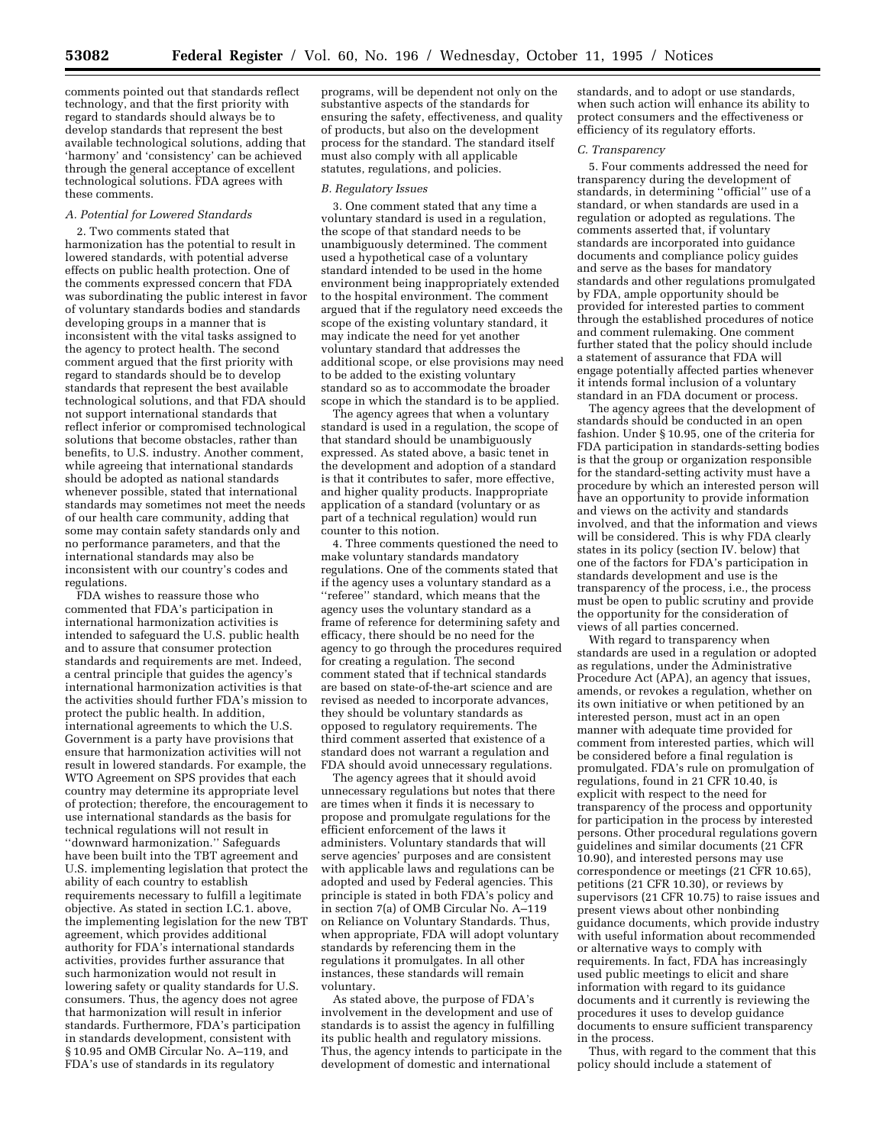comments pointed out that standards reflect technology, and that the first priority with regard to standards should always be to develop standards that represent the best available technological solutions, adding that 'harmony' and 'consistency' can be achieved through the general acceptance of excellent technological solutions. FDA agrees with these comments.

# *A. Potential for Lowered Standards*

2. Two comments stated that harmonization has the potential to result in lowered standards, with potential adverse effects on public health protection. One of the comments expressed concern that FDA was subordinating the public interest in favor of voluntary standards bodies and standards developing groups in a manner that is inconsistent with the vital tasks assigned to the agency to protect health. The second comment argued that the first priority with regard to standards should be to develop standards that represent the best available technological solutions, and that FDA should not support international standards that reflect inferior or compromised technological solutions that become obstacles, rather than benefits, to U.S. industry. Another comment, while agreeing that international standards should be adopted as national standards whenever possible, stated that international standards may sometimes not meet the needs of our health care community, adding that some may contain safety standards only and no performance parameters, and that the international standards may also be inconsistent with our country's codes and regulations.

FDA wishes to reassure those who commented that FDA's participation in international harmonization activities is intended to safeguard the U.S. public health and to assure that consumer protection standards and requirements are met. Indeed, a central principle that guides the agency's international harmonization activities is that the activities should further FDA's mission to protect the public health. In addition, international agreements to which the U.S. Government is a party have provisions that ensure that harmonization activities will not result in lowered standards. For example, the WTO Agreement on SPS provides that each country may determine its appropriate level of protection; therefore, the encouragement to use international standards as the basis for technical regulations will not result in ''downward harmonization.'' Safeguards have been built into the TBT agreement and U.S. implementing legislation that protect the ability of each country to establish requirements necessary to fulfill a legitimate objective. As stated in section I.C.1. above, the implementing legislation for the new TBT agreement, which provides additional authority for FDA's international standards activities, provides further assurance that such harmonization would not result in lowering safety or quality standards for U.S. consumers. Thus, the agency does not agree that harmonization will result in inferior standards. Furthermore, FDA's participation in standards development, consistent with § 10.95 and OMB Circular No. A–119, and FDA's use of standards in its regulatory

programs, will be dependent not only on the substantive aspects of the standards for ensuring the safety, effectiveness, and quality of products, but also on the development process for the standard. The standard itself must also comply with all applicable statutes, regulations, and policies.

#### *B. Regulatory Issues*

3. One comment stated that any time a voluntary standard is used in a regulation, the scope of that standard needs to be unambiguously determined. The comment used a hypothetical case of a voluntary standard intended to be used in the home environment being inappropriately extended to the hospital environment. The comment argued that if the regulatory need exceeds the scope of the existing voluntary standard, it may indicate the need for yet another voluntary standard that addresses the additional scope, or else provisions may need to be added to the existing voluntary standard so as to accommodate the broader scope in which the standard is to be applied.

The agency agrees that when a voluntary standard is used in a regulation, the scope of that standard should be unambiguously expressed. As stated above, a basic tenet in the development and adoption of a standard is that it contributes to safer, more effective, and higher quality products. Inappropriate application of a standard (voluntary or as part of a technical regulation) would run counter to this notion.

4. Three comments questioned the need to make voluntary standards mandatory regulations. One of the comments stated that if the agency uses a voluntary standard as a ''referee'' standard, which means that the agency uses the voluntary standard as a frame of reference for determining safety and efficacy, there should be no need for the agency to go through the procedures required for creating a regulation. The second comment stated that if technical standards are based on state-of-the-art science and are revised as needed to incorporate advances, they should be voluntary standards as opposed to regulatory requirements. The third comment asserted that existence of a standard does not warrant a regulation and FDA should avoid unnecessary regulations.

The agency agrees that it should avoid unnecessary regulations but notes that there are times when it finds it is necessary to propose and promulgate regulations for the efficient enforcement of the laws it administers. Voluntary standards that will serve agencies' purposes and are consistent with applicable laws and regulations can be adopted and used by Federal agencies. This principle is stated in both FDA's policy and in section 7(a) of OMB Circular No. A–119 on Reliance on Voluntary Standards. Thus, when appropriate, FDA will adopt voluntary standards by referencing them in the regulations it promulgates. In all other instances, these standards will remain voluntary.

As stated above, the purpose of FDA's involvement in the development and use of standards is to assist the agency in fulfilling its public health and regulatory missions. Thus, the agency intends to participate in the development of domestic and international

standards, and to adopt or use standards, when such action will enhance its ability to protect consumers and the effectiveness or efficiency of its regulatory efforts.

#### *C. Transparency*

5. Four comments addressed the need for transparency during the development of standards, in determining ''official'' use of a standard, or when standards are used in a regulation or adopted as regulations. The comments asserted that, if voluntary standards are incorporated into guidance documents and compliance policy guides and serve as the bases for mandatory standards and other regulations promulgated by FDA, ample opportunity should be provided for interested parties to comment through the established procedures of notice and comment rulemaking. One comment further stated that the policy should include a statement of assurance that FDA will engage potentially affected parties whenever it intends formal inclusion of a voluntary standard in an FDA document or process.

The agency agrees that the development of standards should be conducted in an open fashion. Under § 10.95, one of the criteria for FDA participation in standards-setting bodies is that the group or organization responsible for the standard-setting activity must have a procedure by which an interested person will have an opportunity to provide information and views on the activity and standards involved, and that the information and views will be considered. This is why FDA clearly states in its policy (section IV. below) that one of the factors for FDA's participation in standards development and use is the transparency of the process, i.e., the process must be open to public scrutiny and provide the opportunity for the consideration of views of all parties concerned.

With regard to transparency when standards are used in a regulation or adopted as regulations, under the Administrative Procedure Act (APA), an agency that issues, amends, or revokes a regulation, whether on its own initiative or when petitioned by an interested person, must act in an open manner with adequate time provided for comment from interested parties, which will be considered before a final regulation is promulgated. FDA's rule on promulgation of regulations, found in 21 CFR 10.40, is explicit with respect to the need for transparency of the process and opportunity for participation in the process by interested persons. Other procedural regulations govern guidelines and similar documents (21 CFR 10.90), and interested persons may use correspondence or meetings (21 CFR 10.65), petitions (21 CFR 10.30), or reviews by supervisors (21 CFR 10.75) to raise issues and present views about other nonbinding guidance documents, which provide industry with useful information about recommended or alternative ways to comply with requirements. In fact, FDA has increasingly used public meetings to elicit and share information with regard to its guidance documents and it currently is reviewing the procedures it uses to develop guidance documents to ensure sufficient transparency in the process.

Thus, with regard to the comment that this policy should include a statement of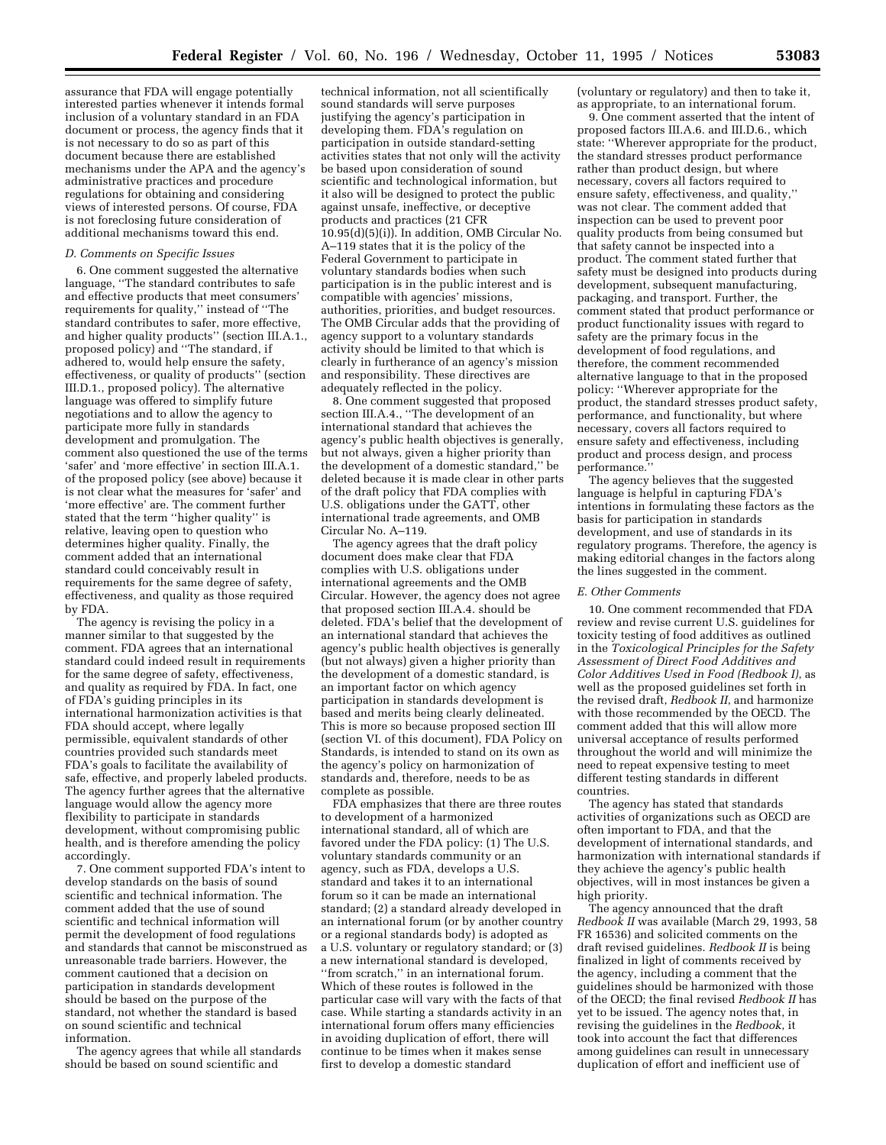assurance that FDA will engage potentially interested parties whenever it intends formal inclusion of a voluntary standard in an FDA document or process, the agency finds that it is not necessary to do so as part of this document because there are established mechanisms under the APA and the agency's administrative practices and procedure regulations for obtaining and considering views of interested persons. Of course, FDA is not foreclosing future consideration of additional mechanisms toward this end.

# *D. Comments on Specific Issues*

6. One comment suggested the alternative language, ''The standard contributes to safe and effective products that meet consumers' requirements for quality,'' instead of ''The standard contributes to safer, more effective, and higher quality products'' (section III.A.1., proposed policy) and ''The standard, if adhered to, would help ensure the safety, effectiveness, or quality of products'' (section III.D.1., proposed policy). The alternative language was offered to simplify future negotiations and to allow the agency to participate more fully in standards development and promulgation. The comment also questioned the use of the terms 'safer' and 'more effective' in section III.A.1. of the proposed policy (see above) because it is not clear what the measures for 'safer' and 'more effective' are. The comment further stated that the term ''higher quality'' is relative, leaving open to question who determines higher quality. Finally, the comment added that an international standard could conceivably result in requirements for the same degree of safety, effectiveness, and quality as those required by FDA.

The agency is revising the policy in a manner similar to that suggested by the comment. FDA agrees that an international standard could indeed result in requirements for the same degree of safety, effectiveness, and quality as required by FDA. In fact, one of FDA's guiding principles in its international harmonization activities is that FDA should accept, where legally permissible, equivalent standards of other countries provided such standards meet FDA's goals to facilitate the availability of safe, effective, and properly labeled products. The agency further agrees that the alternative language would allow the agency more flexibility to participate in standards development, without compromising public health, and is therefore amending the policy accordingly.

7. One comment supported FDA's intent to develop standards on the basis of sound scientific and technical information. The comment added that the use of sound scientific and technical information will permit the development of food regulations and standards that cannot be misconstrued as unreasonable trade barriers. However, the comment cautioned that a decision on participation in standards development should be based on the purpose of the standard, not whether the standard is based on sound scientific and technical information.

The agency agrees that while all standards should be based on sound scientific and

technical information, not all scientifically sound standards will serve purposes justifying the agency's participation in developing them. FDA's regulation on participation in outside standard-setting activities states that not only will the activity be based upon consideration of sound scientific and technological information, but it also will be designed to protect the public against unsafe, ineffective, or deceptive products and practices (21 CFR 10.95(d)(5)(i)). In addition, OMB Circular No. A–119 states that it is the policy of the Federal Government to participate in voluntary standards bodies when such participation is in the public interest and is compatible with agencies' missions, authorities, priorities, and budget resources. The OMB Circular adds that the providing of agency support to a voluntary standards activity should be limited to that which is clearly in furtherance of an agency's mission and responsibility. These directives are adequately reflected in the policy.

8. One comment suggested that proposed section III.A.4., "The development of an international standard that achieves the agency's public health objectives is generally, but not always, given a higher priority than the development of a domestic standard,'' be deleted because it is made clear in other parts of the draft policy that FDA complies with U.S. obligations under the GATT, other international trade agreements, and OMB Circular No. A–119.

The agency agrees that the draft policy document does make clear that FDA complies with U.S. obligations under international agreements and the OMB Circular. However, the agency does not agree that proposed section III.A.4. should be deleted. FDA's belief that the development of an international standard that achieves the agency's public health objectives is generally (but not always) given a higher priority than the development of a domestic standard, is an important factor on which agency participation in standards development is based and merits being clearly delineated. This is more so because proposed section III (section VI. of this document), FDA Policy on Standards, is intended to stand on its own as the agency's policy on harmonization of standards and, therefore, needs to be as complete as possible.

FDA emphasizes that there are three routes to development of a harmonized international standard, all of which are favored under the FDA policy: (1) The U.S. voluntary standards community or an agency, such as FDA, develops a U.S. standard and takes it to an international forum so it can be made an international standard; (2) a standard already developed in an international forum (or by another country or a regional standards body) is adopted as a U.S. voluntary or regulatory standard; or (3) a new international standard is developed, ''from scratch,'' in an international forum. Which of these routes is followed in the particular case will vary with the facts of that case. While starting a standards activity in an international forum offers many efficiencies in avoiding duplication of effort, there will continue to be times when it makes sense first to develop a domestic standard

(voluntary or regulatory) and then to take it, as appropriate, to an international forum.

9. One comment asserted that the intent of proposed factors III.A.6. and III.D.6., which state: ''Wherever appropriate for the product, the standard stresses product performance rather than product design, but where necessary, covers all factors required to ensure safety, effectiveness, and quality,'' was not clear. The comment added that inspection can be used to prevent poor quality products from being consumed but that safety cannot be inspected into a product. The comment stated further that safety must be designed into products during development, subsequent manufacturing, packaging, and transport. Further, the comment stated that product performance or product functionality issues with regard to safety are the primary focus in the development of food regulations, and therefore, the comment recommended alternative language to that in the proposed policy: ''Wherever appropriate for the product, the standard stresses product safety, performance, and functionality, but where necessary, covers all factors required to ensure safety and effectiveness, including product and process design, and process performance.''

The agency believes that the suggested language is helpful in capturing FDA's intentions in formulating these factors as the basis for participation in standards development, and use of standards in its regulatory programs. Therefore, the agency is making editorial changes in the factors along the lines suggested in the comment.

#### *E. Other Comments*

10. One comment recommended that FDA review and revise current U.S. guidelines for toxicity testing of food additives as outlined in the *Toxicological Principles for the Safety Assessment of Direct Food Additives and Color Additives Used in Food (Redbook I)*, as well as the proposed guidelines set forth in the revised draft, *Redbook II*, and harmonize with those recommended by the OECD. The comment added that this will allow more universal acceptance of results performed throughout the world and will minimize the need to repeat expensive testing to meet different testing standards in different countries.

The agency has stated that standards activities of organizations such as OECD are often important to FDA, and that the development of international standards, and harmonization with international standards if they achieve the agency's public health objectives, will in most instances be given a high priority.

The agency announced that the draft *Redbook II* was available (March 29, 1993, 58 FR 16536) and solicited comments on the draft revised guidelines. *Redbook II* is being finalized in light of comments received by the agency, including a comment that the guidelines should be harmonized with those of the OECD; the final revised *Redbook II* has yet to be issued. The agency notes that, in revising the guidelines in the *Redbook*, it took into account the fact that differences among guidelines can result in unnecessary duplication of effort and inefficient use of